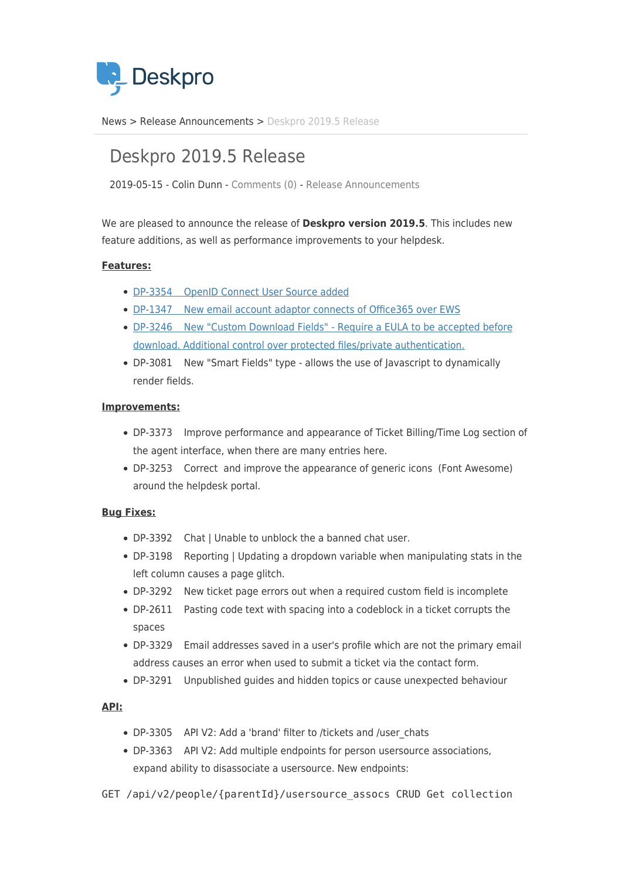

[News](https://support.deskpro.com/zh-CN/news) > [Release Announcements](https://support.deskpro.com/zh-CN/news/release-announcements) > [Deskpro 2019.5 Release](https://support.deskpro.com/zh-CN/news/posts/deskpro-2019-5-release)

# Deskpro 2019.5 Release

2019-05-15 - Colin Dunn - [Comments \(0\)](#page--1-0) - [Release Announcements](https://support.deskpro.com/zh-CN/news/release-announcements)

We are pleased to announce the release of **Deskpro version 2019.5**. This includes new feature additions, as well as performance improvements to your helpdesk.

## **Features:**

- [DP-3354 OpenID Connect User Source added](https://support.deskpro.com/en-GB/guides/admin-guide/authentication-and-sso/openid-connect-setup)
- [DP-1347 New email account adaptor connects of Office365 over EWS](https://support.deskpro.com/en-GB/news/posts/office365-simple-email-adaptor-over-ews)
- [DP-3246 New "Custom Download Fields" Require a EULA to be accepted before](https://support.deskpro.com/en-GB/news/posts/custom-fields-for-downloads) [download. Additional control over protected files/private authentication.](https://support.deskpro.com/en-GB/news/posts/custom-fields-for-downloads)
- DP-3081 New "Smart Fields" type allows the use of Javascript to dynamically render fields.

## **Improvements:**

- DP-3373 Improve performance and appearance of Ticket Billing/Time Log section of the agent interface, when there are many entries here.
- DP-3253 Correct and improve the appearance of generic icons (Font Awesome) around the helpdesk portal.

## **Bug Fixes:**

- DP-3392 Chat | Unable to unblock the a banned chat user.
- DP-3198 Reporting | Updating a dropdown variable when manipulating stats in the left column causes a page glitch.
- DP-3292 New ticket page errors out when a required custom field is incomplete
- DP-2611 Pasting code text with spacing into a codeblock in a ticket corrupts the spaces
- DP-3329 Email addresses saved in a user's profile which are not the primary email address causes an error when used to submit a ticket via the contact form.
- DP-3291 Unpublished guides and hidden topics or cause unexpected behaviour

## **API:**

- DP-3305 API V2: Add a 'brand' filter to /tickets and /user\_chats
- DP-3363 API V2: Add multiple endpoints for person usersource associations, expand ability to disassociate a usersource. New endpoints:
- GET /api/v2/people/{parentId}/usersource\_assocs CRUD Get collection